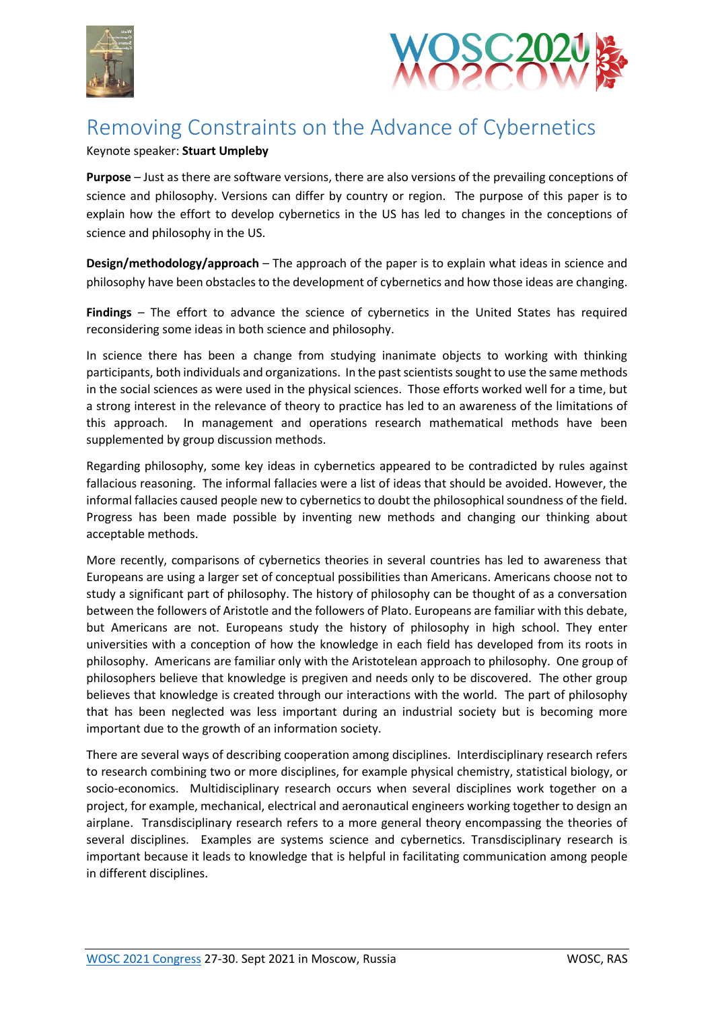



## Removing Constraints on the Advance of Cybernetics

## Keynote speaker: **Stuart Umpleby**

**Purpose** – Just as there are software versions, there are also versions of the prevailing conceptions of science and philosophy. Versions can differ by country or region. The purpose of this paper is to explain how the effort to develop cybernetics in the US has led to changes in the conceptions of science and philosophy in the US.

**Design/methodology/approach** – The approach of the paper is to explain what ideas in science and philosophy have been obstacles to the development of cybernetics and how those ideas are changing.

**Findings** *–* The effort to advance the science of cybernetics in the United States has required reconsidering some ideas in both science and philosophy.

In science there has been a change from studying inanimate objects to working with thinking participants, both individuals and organizations. In the past scientists sought to use the same methods in the social sciences as were used in the physical sciences. Those efforts worked well for a time, but a strong interest in the relevance of theory to practice has led to an awareness of the limitations of this approach. In management and operations research mathematical methods have been supplemented by group discussion methods.

Regarding philosophy, some key ideas in cybernetics appeared to be contradicted by rules against fallacious reasoning. The informal fallacies were a list of ideas that should be avoided. However, the informal fallacies caused people new to cybernetics to doubt the philosophical soundness of the field. Progress has been made possible by inventing new methods and changing our thinking about acceptable methods.

More recently, comparisons of cybernetics theories in several countries has led to awareness that Europeans are using a larger set of conceptual possibilities than Americans. Americans choose not to study a significant part of philosophy. The history of philosophy can be thought of as a conversation between the followers of Aristotle and the followers of Plato. Europeans are familiar with this debate, but Americans are not. Europeans study the history of philosophy in high school. They enter universities with a conception of how the knowledge in each field has developed from its roots in philosophy. Americans are familiar only with the Aristotelean approach to philosophy. One group of philosophers believe that knowledge is pregiven and needs only to be discovered. The other group believes that knowledge is created through our interactions with the world. The part of philosophy that has been neglected was less important during an industrial society but is becoming more important due to the growth of an information society.

There are several ways of describing cooperation among disciplines. Interdisciplinary research refers to research combining two or more disciplines, for example physical chemistry, statistical biology, or socio-economics. Multidisciplinary research occurs when several disciplines work together on a project, for example, mechanical, electrical and aeronautical engineers working together to design an airplane. Transdisciplinary research refers to a more general theory encompassing the theories of several disciplines. Examples are systems science and cybernetics. Transdisciplinary research is important because it leads to knowledge that is helpful in facilitating communication among people in different disciplines.